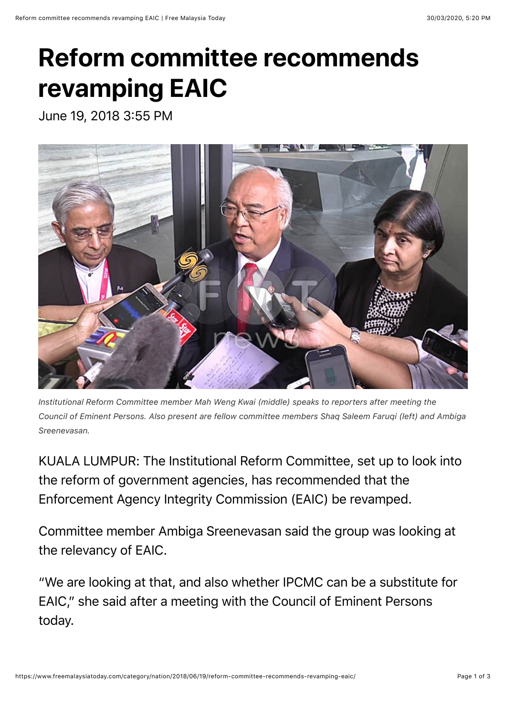## **Reform committee recommends revamping EAIC**

June 19, 2018 3:55 PM



*Institutional Reform Committee member Mah Weng Kwai (middle) speaks to reporters after meeting the Council of Eminent Persons. Also present are fellow committee members Shaq Saleem Faruqi (left) and Ambiga Sreenevasan.*

KUALA LUMPUR: The Institutional Reform Committee, set up to look into the reform of government agencies, has recommended that the Enforcement Agency Integrity Commission (EAIC) be revamped.

Committee member Ambiga Sreenevasan said the group was looking at the relevancy of EAIC.

"We are looking at that, and also whether IPCMC can be a substitute for EAIC," she said after a meeting with the Council of Eminent Persons today.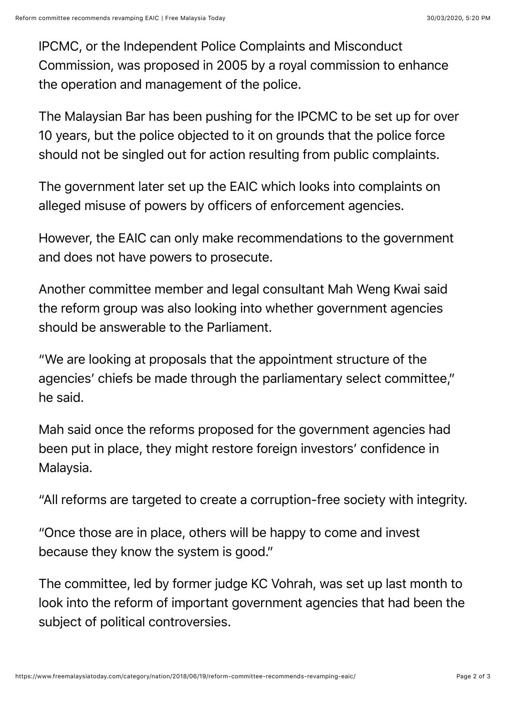IPCMC, or the Independent Police Complaints and Misconduct Commission, was proposed in 2005 by a royal commission to enhance the operation and management of the police.

The Malaysian Bar has been pushing for the IPCMC to be set up for over 10 years, but the police objected to it on grounds that the police force should not be singled out for action resulting from public complaints.

The government later set up the EAIC which looks into complaints on alleged misuse of powers by officers of enforcement agencies.

However, the EAIC can only make recommendations to the government and does not have powers to prosecute.

Another committee member and legal consultant Mah Weng Kwai said the reform group was also looking into whether government agencies should be answerable to the Parliament.

"We are looking at proposals that the appointment structure of the agencies' chiefs be made through the parliamentary select committee," he said.

Mah said once the reforms proposed for the government agencies had been put in place, they might restore foreign investors' confidence in Malaysia.

"All reforms are targeted to create a corruption-free society with integrity.

"Once those are in place, others will be happy to come and invest because they know the system is good."

The committee, led by former judge KC Vohrah, was set up last month to look into the reform of important government agencies that had been the subject of political controversies.